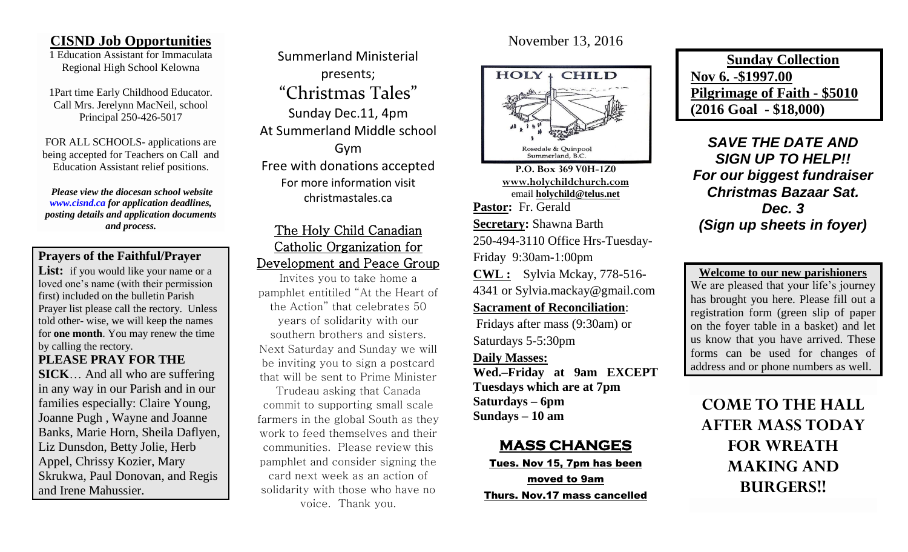## **CISND Job Opportunities**

1 Education Assistant for Immaculata Regional High School Kelowna

1Part time Early Childhood Educator. Call Mrs. Jerelynn MacNeil, school Principal 250-426-5017

FOR ALL SCHOOLS- applications are being accepted for Teachers on Call and Education Assistant relief positions.

*Please view the diocesan school website [www.cisnd.ca](http://www.cisnd.ca/) for application deadlines, posting details and application documents and process.* 

## **Prayers of the Faithful/Prayer**

List: if you would like your name or a loved one's name (with their permission first) included on the bulletin Parish Prayer list please call the rectory. Unless told other- wise, we will keep the names for **one month**. You may renew the time by calling the rectory.

**PLEASE PRAY FOR THE SICK**… And all who are suffering in any way in our Parish and in our families especially: Claire Young, Joanne Pugh , Wayne and Joanne Banks, Marie Horn, Sheila Daflyen, Liz Dunsdon, Betty Jolie, Herb Appel, Chrissy Kozier, Mary Skrukwa, Paul Donovan, and Regis and Irene Mahussier.

Summerland Ministerial presents; "Christmas Tales" Sunday Dec.11, 4pm At Summerland Middle school Gym Free with donations accepted For more information visit christmastales.ca

## The Holy Child Canadian Catholic Organization for Development and Peace Group

Invites you to take home a pamphlet entitiled "At the Heart of the Action" that celebrates 50 years of solidarity with our southern brothers and sisters. Next Saturday and Sunday we will be inviting you to sign a postcard that will be sent to Prime Minister

Trudeau asking that Canada commit to supporting small scale farmers in the global South as they work to feed themselves and their communities. Please review this pamphlet and consider signing the card next week as an action of solidarity with those who have no voice. Thank you.

November 13, 2016



**P.O. Box 369 V0H-1Z0 [www.holychildchurch.com](http://www.holychildchurch.com/)** email **holychild@telus.net Pastor:** Fr. Gerald **Secretary:** Shawna Barth 250-494-3110 Office Hrs-Tuesday-Friday 9:30am-1:00pm **CWL :** Sylvia Mckay, 778-516- 4341 or Sylvia.mackay@gmail.com **Sacrament of Reconciliation**: Fridays after mass (9:30am) or Saturdays 5-5:30pm

### **Daily Masses:**

**Wed.–Friday at 9am EXCEPT Tuesdays which are at 7pm Saturdays – 6pm Sundays – 10 am**

# **MASS CHANGES**

Tues. Nov 15, 7pm has been moved to 9am Thurs. Nov.17 mass cancelled

**Sunday Collection Nov 6. -\$1997.00 Pilgrimage of Faith - \$5010 (2016 Goal - \$18,000)**

*SAVE THE DATE AND SIGN UP TO HELP!! For our biggest fundraiser Christmas Bazaar Sat. Dec. 3 (Sign up sheets in foyer)*

**Welcome to our new parishioners** We are pleased that your life's journey has brought you here. Please fill out a registration form (green slip of paper on the foyer table in a basket) and let us know that you have arrived. These forms can be used for changes of address and or phone numbers as well.

**COME TO THE HALL AFTER MASS TODAY FOR WREATH MAKING AND BURGERS!!**